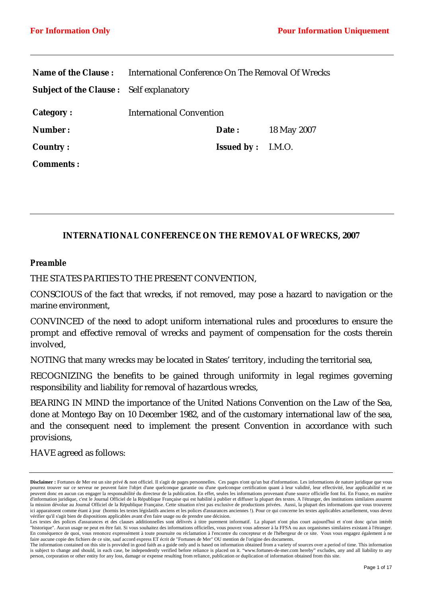| <b>Name of the Clause:</b>                     | International Conference On The Removal Of Wrecks |             |  |  |  |
|------------------------------------------------|---------------------------------------------------|-------------|--|--|--|
| <b>Subject of the Clause:</b> Self explanatory |                                                   |             |  |  |  |
| Category:                                      | <b>International Convention</b>                   |             |  |  |  |
| Number:                                        | Date :                                            | 18 May 2007 |  |  |  |
| <b>Country:</b>                                | <b>Issued by:</b>                                 | I.M.O.      |  |  |  |
| <b>Comments:</b>                               |                                                   |             |  |  |  |

# **INTERNATIONAL CONFERENCE ON THE REMOVAL OF WRECKS, 2007**

#### *Preamble*

THE STATES PARTIES TO THE PRESENT CONVENTION,

CONSCIOUS of the fact that wrecks, if not removed, may pose a hazard to navigation or the marine environment,

CONVINCED of the need to adopt uniform international rules and procedures to ensure the prompt and effective removal of wrecks and payment of compensation for the costs therein involved,

NOTING that many wrecks may be located in States' territory, including the territorial sea,

RECOGNIZING the benefits to be gained through uniformity in legal regimes governing responsibility and liability for removal of hazardous wrecks,

BEARING IN MIND the importance of the United Nations Convention on the Law of the Sea, done at Montego Bay on 10 December 1982, and of the customary international law of the sea, and the consequent need to implement the present Convention in accordance with such provisions,

HAVE agreed as follows:

**Disclaimer :** Fortunes de Mer est un site privé & non officiel. Il s'agit de pages personnelles. Ces pages n'ont qu'un but d'information. Les informations de nature juridique que vous pourrez trouver sur ce serveur ne peuvent faire l'objet d'une quelconque garantie ou d'une quelconque certification quant à leur validité, leur effectivité, leur applicabilité et ne peuvent donc en aucun cas engager la responsabilité du directeur de la publication. En effet, seules les informations provenant d'une source officielle font foi. En France, en matière d'information juridique, c'est le Journal Officiel de la République Française qui est habilité à publier et diffuser la plupart des textes. A l'étranger, des institutions similaires assurent la mission dévolue au Journal Officiel de la République Française. Cette situation n'est pas exclusive de productions privées. Aussi, la plupart des informations que vous trouverez ici apparaissent comme étant à jour (hormis les textes législatifs anciens et les polices d'assurances anciennes !). Pour ce qui concerne les textes applicables actuellement, vous devez vérifier qu'il s'agit bien de dispositions applicables avant d'en faire usage ou de prendre une décision.

Les textes des polices d'assurances et des clauses additionnelles sont délivrés à titre purement informatif. La plupart n'ont plus court aujourd'hui et n'ont donc qu'un intérêt "historique". Aucun usage ne peut en être fait. Si vous souhaitez des informations officielles, vous pouvez vous adresser à la FFSA ou aux organismes similaires existant à l'étranger. En conséquence de quoi, vous renoncez expressément à toute poursuite ou réclamation à l'encontre du concepteur et de l'hébergeur de ce site. Vous vous engagez également à ne faire aucune copie des fichiers de ce site, sauf accord express ET écrit de "Fortunes de Mer" OU mention de l'origine des documents.

The information contained on this site is provided in good faith as a guide only and is based on information obtained from a variety of sources over a period of time. This information is subject to change and should, in each case, be independently verified before reliance is placed on it. "www.fortunes-de-mer.com hereby" excludes, any and all liability to any person, corporation or other entity for any loss, damage or expense resulting from reliance, publication or duplication of information obtained from this site.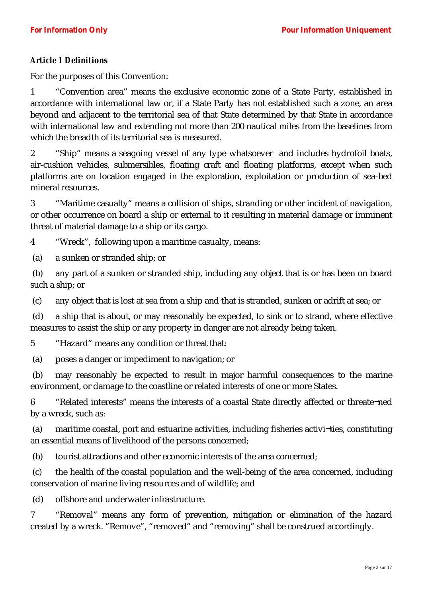## *Article 1 Definitions*

For the purposes of this Convention:

1 "Convention area" means the exclusive economic zone of a State Party, established in accordance with international law or, if a State Party has not established such a zone, an area beyond and adjacent to the territorial sea of that State determined by that State in accordance with international law and extending not more than 200 nautical miles from the baselines from which the breadth of its territorial sea is measured.

2 "Ship" means a seagoing vessel of any type whatsoever and includes hydrofoil boats, air-cushion vehicles, submersibles, floating craft and floating platforms, except when such platforms are on location engaged in the exploration, exploitation or production of sea-bed mineral resources.

3 "Maritime casualty" means a collision of ships, stranding or other incident of navigation, or other occurrence on board a ship or external to it resulting in material damage or imminent threat of material damage to a ship or its cargo.

4 "Wreck", following upon a maritime casualty, means:

(a) a sunken or stranded ship; or

 (b) any part of a sunken or stranded ship, including any object that is or has been on board such a ship; or

(c) any object that is lost at sea from a ship and that is stranded, sunken or adrift at sea; or

 (d) a ship that is about, or may reasonably be expected, to sink or to strand, where effective measures to assist the ship or any property in danger are not already being taken.

5 "Hazard" means any condition or threat that:

(a) poses a danger or impediment to navigation; or

 (b) may reasonably be expected to result in major harmful consequences to the marine environment, or damage to the coastline or related interests of one or more States.

6 "Related interests" means the interests of a coastal State directly affected or threate¬ned by a wreck, such as:

 (a) maritime coastal, port and estuarine activities, including fisheries activi¬ties, constituting an essential means of livelihood of the persons concerned;

(b) tourist attractions and other economic interests of the area concerned;

 (c) the health of the coastal population and the well-being of the area concerned, including conservation of marine living resources and of wildlife; and

(d) offshore and underwater infrastructure.

7 "Removal" means any form of prevention, mitigation or elimination of the hazard created by a wreck. "Remove", "removed" and "removing" shall be construed accordingly.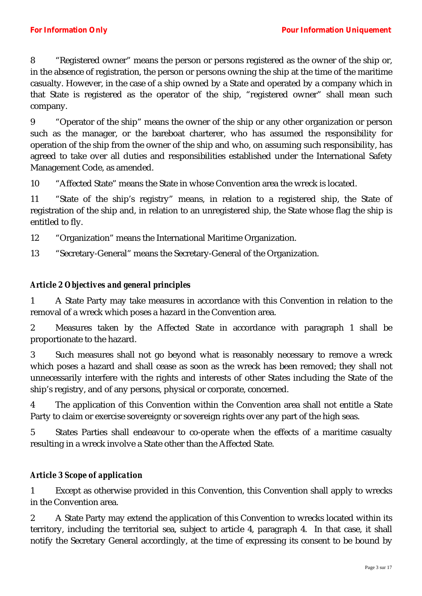8 "Registered owner" means the person or persons registered as the owner of the ship or, in the absence of registration, the person or persons owning the ship at the time of the maritime casualty. However, in the case of a ship owned by a State and operated by a company which in that State is registered as the operator of the ship, "registered owner" shall mean such company.

9 "Operator of the ship" means the owner of the ship or any other organization or person such as the manager, or the bareboat charterer, who has assumed the responsibility for operation of the ship from the owner of the ship and who, on assuming such responsibility, has agreed to take over all duties and responsibilities established under the International Safety Management Code, as amended.

10 "Affected State" means the State in whose Convention area the wreck is located.

11 "State of the ship's registry" means, in relation to a registered ship, the State of registration of the ship and, in relation to an unregistered ship, the State whose flag the ship is entitled to fly.

12 "Organization" means the International Maritime Organization.

13 "Secretary-General" means the Secretary-General of the Organization.

# *Article 2 Objectives and general principles*

1 A State Party may take measures in accordance with this Convention in relation to the removal of a wreck which poses a hazard in the Convention area.

2 Measures taken by the Affected State in accordance with paragraph 1 shall be proportionate to the hazard.

3 Such measures shall not go beyond what is reasonably necessary to remove a wreck which poses a hazard and shall cease as soon as the wreck has been removed; they shall not unnecessarily interfere with the rights and interests of other States including the State of the ship's registry, and of any persons, physical or corporate, concerned.

4 The application of this Convention within the Convention area shall not entitle a State Party to claim or exercise sovereignty or sovereign rights over any part of the high seas.

5 States Parties shall endeavour to co-operate when the effects of a maritime casualty resulting in a wreck involve a State other than the Affected State.

#### *Article 3 Scope of application*

1 Except as otherwise provided in this Convention, this Convention shall apply to wrecks in the Convention area.

2 A State Party may extend the application of this Convention to wrecks located within its territory, including the territorial sea, subject to article 4, paragraph 4. In that case, it shall notify the Secretary General accordingly, at the time of expressing its consent to be bound by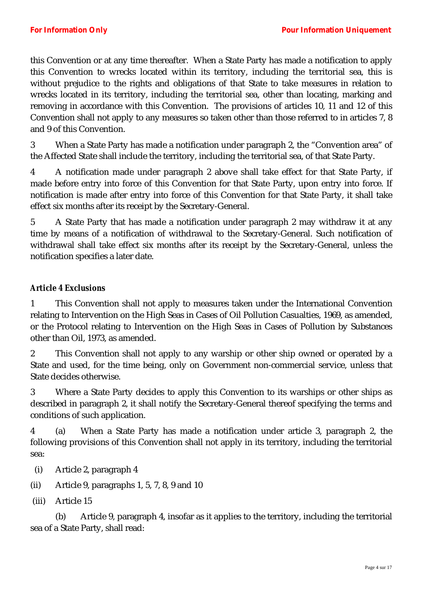this Convention or at any time thereafter. When a State Party has made a notification to apply this Convention to wrecks located within its territory, including the territorial sea, this is without prejudice to the rights and obligations of that State to take measures in relation to wrecks located in its territory, including the territorial sea, other than locating, marking and removing in accordance with this Convention. The provisions of articles 10, 11 and 12 of this Convention shall not apply to any measures so taken other than those referred to in articles 7, 8 and 9 of this Convention.

3 When a State Party has made a notification under paragraph 2, the "Convention area" of the Affected State shall include the territory, including the territorial sea, of that State Party.

4 A notification made under paragraph 2 above shall take effect for that State Party, if made before entry into force of this Convention for that State Party, upon entry into force. If notification is made after entry into force of this Convention for that State Party, it shall take effect six months after its receipt by the Secretary-General.

5 A State Party that has made a notification under paragraph 2 may withdraw it at any time by means of a notification of withdrawal to the Secretary-General. Such notification of withdrawal shall take effect six months after its receipt by the Secretary-General, unless the notification specifies a later date.

# *Article 4 Exclusions*

1 This Convention shall not apply to measures taken under the International Convention relating to Intervention on the High Seas in Cases of Oil Pollution Casualties, 1969, as amended, or the Protocol relating to Intervention on the High Seas in Cases of Pollution by Substances other than Oil, 1973, as amended.

2 This Convention shall not apply to any warship or other ship owned or operated by a State and used, for the time being, only on Government non-commercial service, unless that State decides otherwise.

3 Where a State Party decides to apply this Convention to its warships or other ships as described in paragraph 2, it shall notify the Secretary-General thereof specifying the terms and conditions of such application.

4 (a) When a State Party has made a notification under article 3, paragraph 2, the following provisions of this Convention shall not apply in its territory, including the territorial sea:

- (i) Article 2, paragraph 4
- (ii) Article 9, paragraphs 1, 5, 7, 8, 9 and 10
- (iii) Article 15

 (b) Article 9, paragraph 4, insofar as it applies to the territory, including the territorial sea of a State Party, shall read: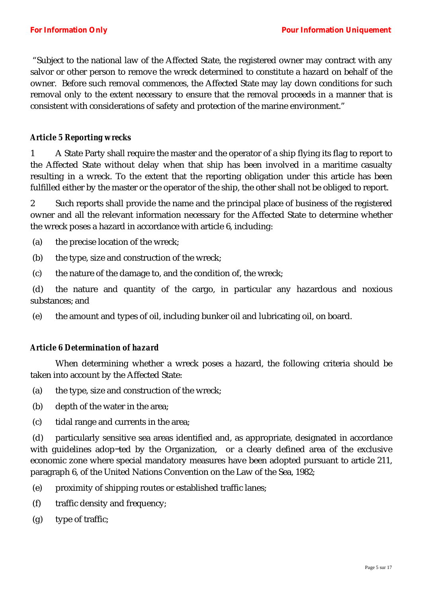"Subject to the national law of the Affected State, the registered owner may contract with any salvor or other person to remove the wreck determined to constitute a hazard on behalf of the owner. Before such removal commences, the Affected State may lay down conditions for such removal only to the extent necessary to ensure that the removal proceeds in a manner that is consistent with considerations of safety and protection of the marine environment."

## *Article 5 Reporting wrecks*

1 A State Party shall require the master and the operator of a ship flying its flag to report to the Affected State without delay when that ship has been involved in a maritime casualty resulting in a wreck. To the extent that the reporting obligation under this article has been fulfilled either by the master or the operator of the ship, the other shall not be obliged to report.

2 Such reports shall provide the name and the principal place of business of the registered owner and all the relevant information necessary for the Affected State to determine whether the wreck poses a hazard in accordance with article 6, including:

- (a) the precise location of the wreck;
- (b) the type, size and construction of the wreck;
- (c) the nature of the damage to, and the condition of, the wreck;

 (d) the nature and quantity of the cargo, in particular any hazardous and noxious substances; and

(e) the amount and types of oil, including bunker oil and lubricating oil, on board.

#### *Article 6 Determination of hazard*

 When determining whether a wreck poses a hazard, the following criteria should be taken into account by the Affected State:

- (a) the type, size and construction of the wreck;
- (b) depth of the water in the area;
- (c) tidal range and currents in the area;

 (d) particularly sensitive sea areas identified and, as appropriate, designated in accordance with guidelines adop-ted by the Organization, or a clearly defined area of the exclusive economic zone where special mandatory measures have been adopted pursuant to article 211, paragraph 6, of the United Nations Convention on the Law of the Sea, 1982;

- (e) proximity of shipping routes or established traffic lanes;
- (f) traffic density and frequency;
- (g) type of traffic;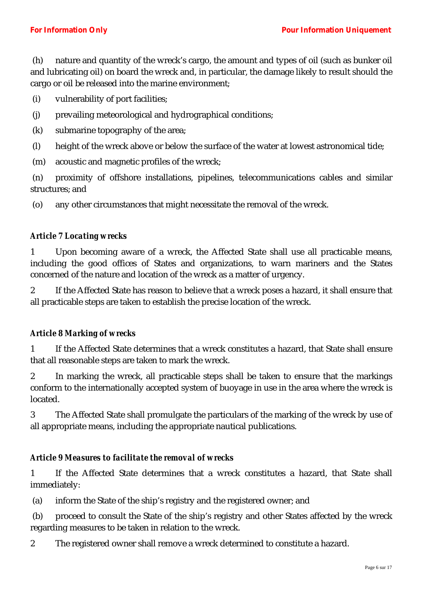(h) nature and quantity of the wreck's cargo, the amount and types of oil (such as bunker oil and lubricating oil) on board the wreck and, in particular, the damage likely to result should the cargo or oil be released into the marine environment;

(i) vulnerability of port facilities;

- (j) prevailing meteorological and hydrographical conditions;
- (k) submarine topography of the area;
- (l) height of the wreck above or below the surface of the water at lowest astronomical tide;
- (m) acoustic and magnetic profiles of the wreck;

 (n) proximity of offshore installations, pipelines, telecommunications cables and similar structures; and

(o) any other circumstances that might necessitate the removal of the wreck.

# *Article 7 Locating wrecks*

1 Upon becoming aware of a wreck, the Affected State shall use all practicable means, including the good offices of States and organizations, to warn mariners and the States concerned of the nature and location of the wreck as a matter of urgency.

2 If the Affected State has reason to believe that a wreck poses a hazard, it shall ensure that all practicable steps are taken to establish the precise location of the wreck.

# *Article 8 Marking of wrecks*

1 If the Affected State determines that a wreck constitutes a hazard, that State shall ensure that all reasonable steps are taken to mark the wreck.

2 In marking the wreck, all practicable steps shall be taken to ensure that the markings conform to the internationally accepted system of buoyage in use in the area where the wreck is located.

3 The Affected State shall promulgate the particulars of the marking of the wreck by use of all appropriate means, including the appropriate nautical publications.

# *Article 9 Measures to facilitate the removal of wrecks*

1 If the Affected State determines that a wreck constitutes a hazard, that State shall immediately:

(a) inform the State of the ship's registry and the registered owner; and

 (b) proceed to consult the State of the ship's registry and other States affected by the wreck regarding measures to be taken in relation to the wreck.

2 The registered owner shall remove a wreck determined to constitute a hazard.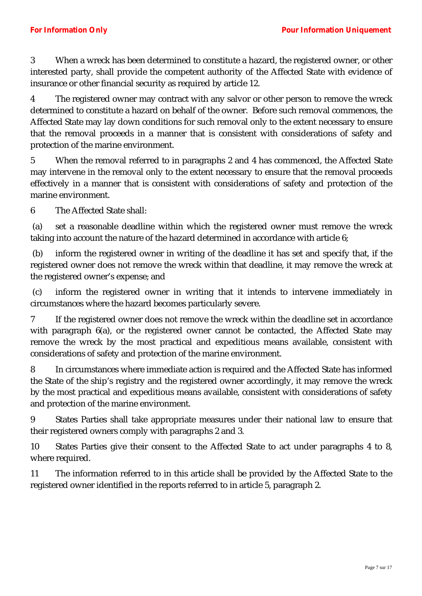3 When a wreck has been determined to constitute a hazard, the registered owner, or other interested party, shall provide the competent authority of the Affected State with evidence of insurance or other financial security as required by article 12.

4 The registered owner may contract with any salvor or other person to remove the wreck determined to constitute a hazard on behalf of the owner. Before such removal commences, the Affected State may lay down conditions for such removal only to the extent necessary to ensure that the removal proceeds in a manner that is consistent with considerations of safety and protection of the marine environment.

5 When the removal referred to in paragraphs 2 and 4 has commenced, the Affected State may intervene in the removal only to the extent necessary to ensure that the removal proceeds effectively in a manner that is consistent with considerations of safety and protection of the marine environment.

6 The Affected State shall:

 (a) set a reasonable deadline within which the registered owner must remove the wreck taking into account the nature of the hazard determined in accordance with article 6;

 (b) inform the registered owner in writing of the deadline it has set and specify that, if the registered owner does not remove the wreck within that deadline, it may remove the wreck at the registered owner's expense; and

 (c) inform the registered owner in writing that it intends to intervene immediately in circumstances where the hazard becomes particularly severe.

7 If the registered owner does not remove the wreck within the deadline set in accordance with paragraph 6(a), or the registered owner cannot be contacted, the Affected State may remove the wreck by the most practical and expeditious means available, consistent with considerations of safety and protection of the marine environment.

8 In circumstances where immediate action is required and the Affected State has informed the State of the ship's registry and the registered owner accordingly, it may remove the wreck by the most practical and expeditious means available, consistent with considerations of safety and protection of the marine environment.

9 States Parties shall take appropriate measures under their national law to ensure that their registered owners comply with paragraphs 2 and 3.

10 States Parties give their consent to the Affected State to act under paragraphs 4 to 8, where required.

11 The information referred to in this article shall be provided by the Affected State to the registered owner identified in the reports referred to in article 5, paragraph 2.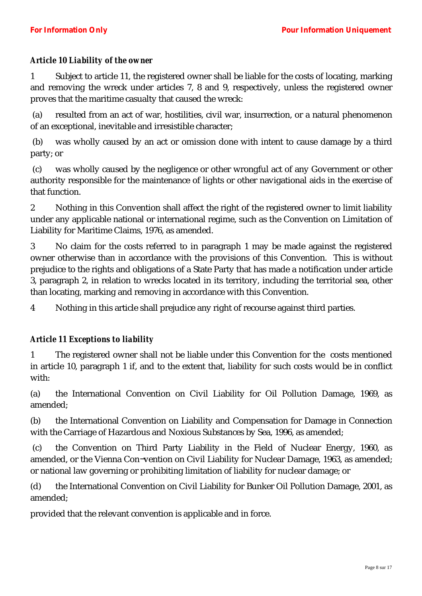## *Article 10 Liability of the owner*

1 Subject to article 11, the registered owner shall be liable for the costs of locating, marking and removing the wreck under articles 7, 8 and 9, respectively, unless the registered owner proves that the maritime casualty that caused the wreck:

 (a) resulted from an act of war, hostilities, civil war, insurrection, or a natural phenomenon of an exceptional, inevitable and irresistible character;

 (b) was wholly caused by an act or omission done with intent to cause damage by a third party; or

 (c) was wholly caused by the negligence or other wrongful act of any Government or other authority responsible for the maintenance of lights or other navigational aids in the exercise of that function.

2 Nothing in this Convention shall affect the right of the registered owner to limit liability under any applicable national or international regime, such as the Convention on Limitation of Liability for Maritime Claims, 1976, as amended.

3 No claim for the costs referred to in paragraph 1 may be made against the registered owner otherwise than in accordance with the provisions of this Convention. This is without prejudice to the rights and obligations of a State Party that has made a notification under article 3, paragraph 2, in relation to wrecks located in its territory, including the territorial sea, other than locating, marking and removing in accordance with this Convention.

4 Nothing in this article shall prejudice any right of recourse against third parties.

# *Article 11 Exceptions to liability*

1 The registered owner shall not be liable under this Convention for the costs mentioned in article 10, paragraph 1 if, and to the extent that, liability for such costs would be in conflict with:

(a) the International Convention on Civil Liability for Oil Pollution Damage, 1969, as amended;

(b) the International Convention on Liability and Compensation for Damage in Connection with the Carriage of Hazardous and Noxious Substances by Sea, 1996, as amended;

 (c) the Convention on Third Party Liability in the Field of Nuclear Energy, 1960, as amended, or the Vienna Con¬vention on Civil Liability for Nuclear Damage, 1963, as amended; or national law governing or prohibiting limitation of liability for nuclear damage; or

(d) the International Convention on Civil Liability for Bunker Oil Pollution Damage, 2001, as amended;

provided that the relevant convention is applicable and in force.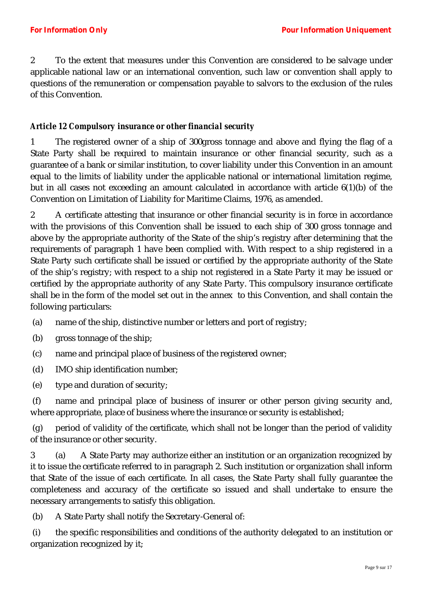2 To the extent that measures under this Convention are considered to be salvage under applicable national law or an international convention, such law or convention shall apply to questions of the remuneration or compensation payable to salvors to the exclusion of the rules of this Convention.

## *Article 12 Compulsory insurance or other financial security*

1 The registered owner of a ship of 300gross tonnage and above and flying the flag of a State Party shall be required to maintain insurance or other financial security, such as a guarantee of a bank or similar institution, to cover liability under this Convention in an amount equal to the limits of liability under the applicable national or international limitation regime, but in all cases not exceeding an amount calculated in accordance with article 6(1)(b) of the Convention on Limitation of Liability for Maritime Claims, 1976, as amended.

2 A certificate attesting that insurance or other financial security is in force in accordance with the provisions of this Convention shall be issued to each ship of 300 gross tonnage and above by the appropriate authority of the State of the ship's registry after determining that the requirements of paragraph 1 have been complied with. With respect to a ship registered in a State Party such certificate shall be issued or certified by the appropriate authority of the State of the ship's registry; with respect to a ship not registered in a State Party it may be issued or certified by the appropriate authority of any State Party. This compulsory insurance certificate shall be in the form of the model set out in the annex to this Convention, and shall contain the following particulars:

- (a) name of the ship, distinctive number or letters and port of registry;
- (b) gross tonnage of the ship;
- (c) name and principal place of business of the registered owner;
- (d) IMO ship identification number;
- (e) type and duration of security;

 (f) name and principal place of business of insurer or other person giving security and, where appropriate, place of business where the insurance or security is established;

 (g) period of validity of the certificate, which shall not be longer than the period of validity of the insurance or other security.

3 (a) A State Party may authorize either an institution or an organization recognized by it to issue the certificate referred to in paragraph 2. Such institution or organization shall inform that State of the issue of each certificate. In all cases, the State Party shall fully guarantee the completeness and accuracy of the certificate so issued and shall undertake to ensure the necessary arrangements to satisfy this obligation.

(b) A State Party shall notify the Secretary-General of:

 (i) the specific responsibilities and conditions of the authority delegated to an institution or organization recognized by it;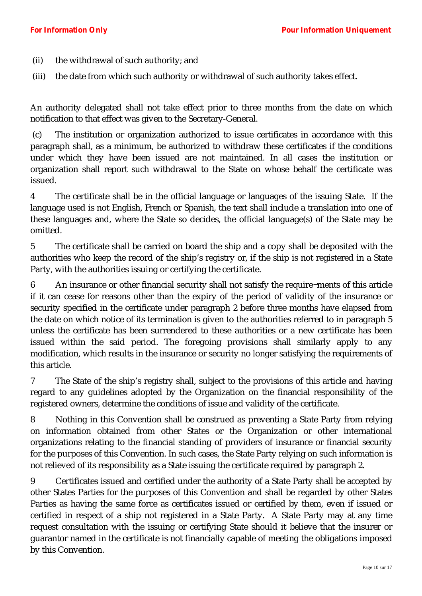- (ii) the withdrawal of such authority; and
- (iii) the date from which such authority or withdrawal of such authority takes effect.

An authority delegated shall not take effect prior to three months from the date on which notification to that effect was given to the Secretary-General.

 (c) The institution or organization authorized to issue certificates in accordance with this paragraph shall, as a minimum, be authorized to withdraw these certificates if the conditions under which they have been issued are not maintained. In all cases the institution or organization shall report such withdrawal to the State on whose behalf the certificate was issued.

4 The certificate shall be in the official language or languages of the issuing State. If the language used is not English, French or Spanish, the text shall include a translation into one of these languages and, where the State so decides, the official language(s) of the State may be omitted.

5 The certificate shall be carried on board the ship and a copy shall be deposited with the authorities who keep the record of the ship's registry or, if the ship is not registered in a State Party, with the authorities issuing or certifying the certificate.

6 An insurance or other financial security shall not satisfy the require¬ments of this article if it can cease for reasons other than the expiry of the period of validity of the insurance or security specified in the certificate under paragraph 2 before three months have elapsed from the date on which notice of its termination is given to the authorities referred to in paragraph 5 unless the certificate has been surrendered to these authorities or a new certificate has been issued within the said period. The foregoing provisions shall similarly apply to any modification, which results in the insurance or security no longer satisfying the requirements of this article.

7 The State of the ship's registry shall, subject to the provisions of this article and having regard to any guidelines adopted by the Organization on the financial responsibility of the registered owners, determine the conditions of issue and validity of the certificate.

8 Nothing in this Convention shall be construed as preventing a State Party from relying on information obtained from other States or the Organization or other international organizations relating to the financial standing of providers of insurance or financial security for the purposes of this Convention. In such cases, the State Party relying on such information is not relieved of its responsibility as a State issuing the certificate required by paragraph 2.

9 Certificates issued and certified under the authority of a State Party shall be accepted by other States Parties for the purposes of this Convention and shall be regarded by other States Parties as having the same force as certificates issued or certified by them, even if issued or certified in respect of a ship not registered in a State Party. A State Party may at any time request consultation with the issuing or certifying State should it believe that the insurer or guarantor named in the certificate is not financially capable of meeting the obligations imposed by this Convention.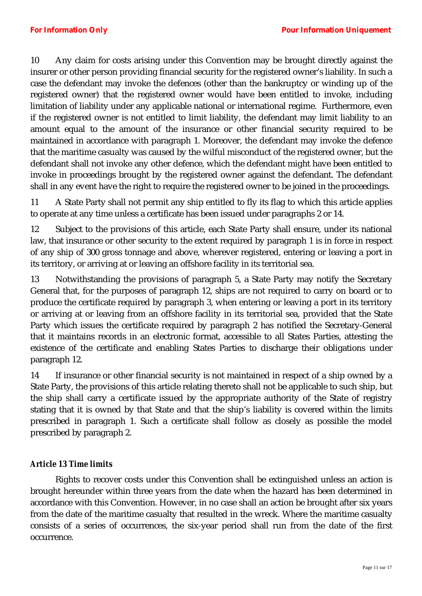10 Any claim for costs arising under this Convention may be brought directly against the insurer or other person providing financial security for the registered owner's liability. In such a case the defendant may invoke the defences (other than the bankruptcy or winding up of the registered owner) that the registered owner would have been entitled to invoke, including limitation of liability under any applicable national or international regime. Furthermore, even if the registered owner is not entitled to limit liability, the defendant may limit liability to an amount equal to the amount of the insurance or other financial security required to be maintained in accordance with paragraph 1. Moreover, the defendant may invoke the defence that the maritime casualty was caused by the wilful misconduct of the registered owner, but the defendant shall not invoke any other defence, which the defendant might have been entitled to invoke in proceedings brought by the registered owner against the defendant. The defendant shall in any event have the right to require the registered owner to be joined in the proceedings.

11 A State Party shall not permit any ship entitled to fly its flag to which this article applies to operate at any time unless a certificate has been issued under paragraphs 2 or 14.

12 Subject to the provisions of this article, each State Party shall ensure, under its national law, that insurance or other security to the extent required by paragraph 1 is in force in respect of any ship of 300 gross tonnage and above, wherever registered, entering or leaving a port in its territory, or arriving at or leaving an offshore facility in its territorial sea.

13 Notwithstanding the provisions of paragraph 5, a State Party may notify the Secretary General that, for the purposes of paragraph 12, ships are not required to carry on board or to produce the certificate required by paragraph 3, when entering or leaving a port in its territory or arriving at or leaving from an offshore facility in its territorial sea, provided that the State Party which issues the certificate required by paragraph 2 has notified the Secretary-General that it maintains records in an electronic format, accessible to all States Parties, attesting the existence of the certificate and enabling States Parties to discharge their obligations under paragraph 12.

14 If insurance or other financial security is not maintained in respect of a ship owned by a State Party, the provisions of this article relating thereto shall not be applicable to such ship, but the ship shall carry a certificate issued by the appropriate authority of the State of registry stating that it is owned by that State and that the ship's liability is covered within the limits prescribed in paragraph 1. Such a certificate shall follow as closely as possible the model prescribed by paragraph 2.

# *Article 13 Time limits*

 Rights to recover costs under this Convention shall be extinguished unless an action is brought hereunder within three years from the date when the hazard has been determined in accordance with this Convention. However, in no case shall an action be brought after six years from the date of the maritime casualty that resulted in the wreck. Where the maritime casualty consists of a series of occurrences, the six-year period shall run from the date of the first occurrence.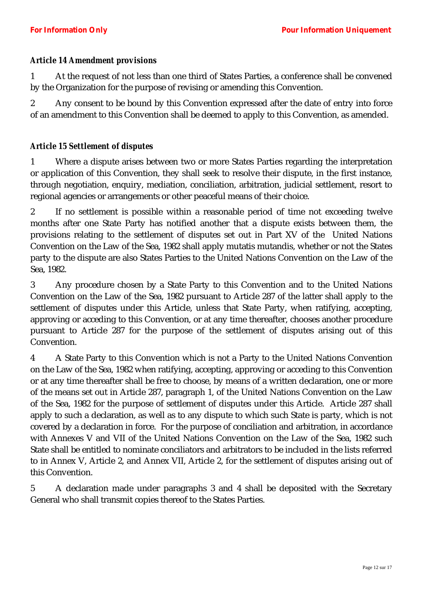#### *Article 14 Amendment provisions*

1 At the request of not less than one third of States Parties, a conference shall be convened by the Organization for the purpose of revising or amending this Convention.

2 Any consent to be bound by this Convention expressed after the date of entry into force of an amendment to this Convention shall be deemed to apply to this Convention, as amended.

## *Article 15 Settlement of disputes*

1 Where a dispute arises between two or more States Parties regarding the interpretation or application of this Convention, they shall seek to resolve their dispute, in the first instance, through negotiation, enquiry, mediation, conciliation, arbitration, judicial settlement, resort to regional agencies or arrangements or other peaceful means of their choice.

2 If no settlement is possible within a reasonable period of time not exceeding twelve months after one State Party has notified another that a dispute exists between them, the provisions relating to the settlement of disputes set out in Part XV of the United Nations Convention on the Law of the Sea, 1982 shall apply mutatis mutandis, whether or not the States party to the dispute are also States Parties to the United Nations Convention on the Law of the Sea, 1982.

3 Any procedure chosen by a State Party to this Convention and to the United Nations Convention on the Law of the Sea, 1982 pursuant to Article 287 of the latter shall apply to the settlement of disputes under this Article, unless that State Party, when ratifying, accepting, approving or acceding to this Convention, or at any time thereafter, chooses another procedure pursuant to Article 287 for the purpose of the settlement of disputes arising out of this Convention.

4 A State Party to this Convention which is not a Party to the United Nations Convention on the Law of the Sea, 1982 when ratifying, accepting, approving or acceding to this Convention or at any time thereafter shall be free to choose, by means of a written declaration, one or more of the means set out in Article 287, paragraph 1, of the United Nations Convention on the Law of the Sea, 1982 for the purpose of settlement of disputes under this Article. Article 287 shall apply to such a declaration, as well as to any dispute to which such State is party, which is not covered by a declaration in force. For the purpose of conciliation and arbitration, in accordance with Annexes V and VII of the United Nations Convention on the Law of the Sea, 1982 such State shall be entitled to nominate conciliators and arbitrators to be included in the lists referred to in Annex V, Article 2, and Annex VII, Article 2, for the settlement of disputes arising out of this Convention.

5 A declaration made under paragraphs 3 and 4 shall be deposited with the Secretary General who shall transmit copies thereof to the States Parties.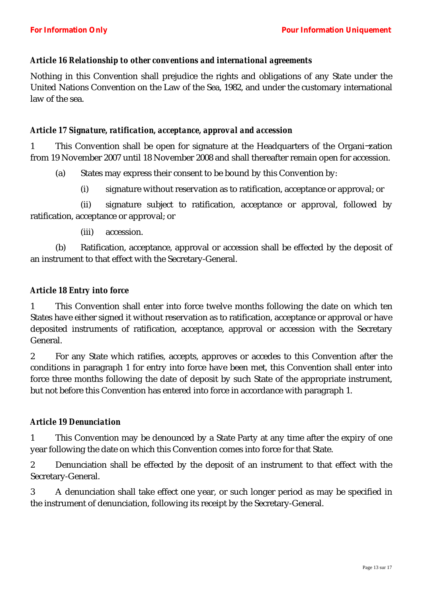#### *Article 16 Relationship to other conventions and international agreements*

Nothing in this Convention shall prejudice the rights and obligations of any State under the United Nations Convention on the Law of the Sea, 1982, and under the customary international law of the sea.

#### *Article 17 Signature, ratification, acceptance, approval and accession*

1 This Convention shall be open for signature at the Headquarters of the Organi¬zation from 19 November 2007 until 18 November 2008 and shall thereafter remain open for accession.

- (a) States may express their consent to be bound by this Convention by:
	- (i) signature without reservation as to ratification, acceptance or approval; or

 (ii) signature subject to ratification, acceptance or approval, followed by ratification, acceptance or approval; or

(iii) accession.

 (b) Ratification, acceptance, approval or accession shall be effected by the deposit of an instrument to that effect with the Secretary-General.

## *Article 18 Entry into force*

1 This Convention shall enter into force twelve months following the date on which ten States have either signed it without reservation as to ratification, acceptance or approval or have deposited instruments of ratification, acceptance, approval or accession with the Secretary General.

2 For any State which ratifies, accepts, approves or accedes to this Convention after the conditions in paragraph 1 for entry into force have been met, this Convention shall enter into force three months following the date of deposit by such State of the appropriate instrument, but not before this Convention has entered into force in accordance with paragraph 1.

# *Article 19 Denunciation*

1 This Convention may be denounced by a State Party at any time after the expiry of one year following the date on which this Convention comes into force for that State.

2 Denunciation shall be effected by the deposit of an instrument to that effect with the Secretary-General.

3 A denunciation shall take effect one year, or such longer period as may be specified in the instrument of denunciation, following its receipt by the Secretary-General.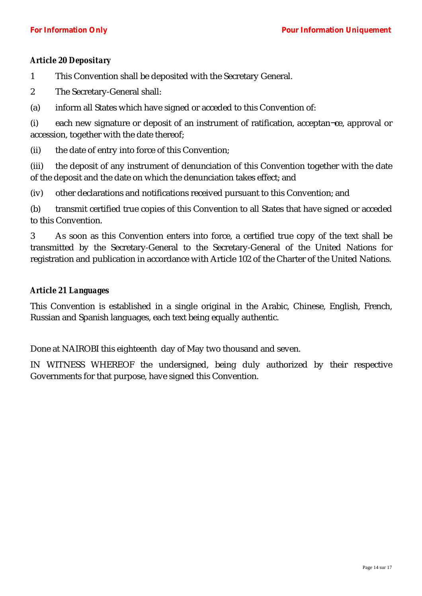## *Article 20 Depositary*

1 This Convention shall be deposited with the Secretary General.

2 The Secretary-General shall:

(a) inform all States which have signed or acceded to this Convention of:

(i) each new signature or deposit of an instrument of ratification, acceptan¬ce, approval or accession, together with the date thereof;

(ii) the date of entry into force of this Convention;

(iii) the deposit of any instrument of denunciation of this Convention together with the date of the deposit and the date on which the denunciation takes effect; and

(iv) other declarations and notifications received pursuant to this Convention; and

(b) transmit certified true copies of this Convention to all States that have signed or acceded to this Convention.

3 As soon as this Convention enters into force, a certified true copy of the text shall be transmitted by the Secretary-General to the Secretary-General of the United Nations for registration and publication in accordance with Article 102 of the Charter of the United Nations.

## *Article 21 Languages*

This Convention is established in a single original in the Arabic, Chinese, English, French, Russian and Spanish languages, each text being equally authentic.

Done at NAIROBI this eighteenth day of May two thousand and seven.

IN WITNESS WHEREOF the undersigned, being duly authorized by their respective Governments for that purpose, have signed this Convention.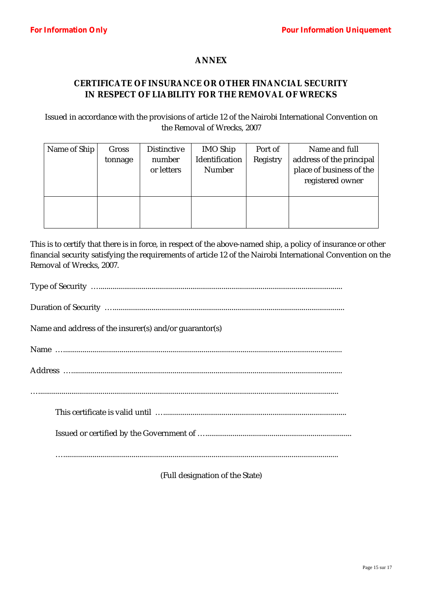# **ANNEX**

# **CERTIFICATE OF INSURANCE OR OTHER FINANCIAL SECURITY IN RESPECT OF LIABILITY FOR THE REMOVAL OF WRECKS**

Issued in accordance with the provisions of article 12 of the Nairobi International Convention on the Removal of Wrecks, 2007

| Name of Ship | Gross<br>tonnage | <b>Distinctive</b><br>number<br>or letters | <b>IMO Ship</b><br>Identification<br>Number | Port of<br>Registry | Name and full<br>address of the principal<br>place of business of the<br>registered owner |
|--------------|------------------|--------------------------------------------|---------------------------------------------|---------------------|-------------------------------------------------------------------------------------------|
|              |                  |                                            |                                             |                     |                                                                                           |

This is to certify that there is in force, in respect of the above-named ship, a policy of insurance or other financial security satisfying the requirements of article 12 of the Nairobi International Convention on the Removal of Wrecks, 2007.

| Name and address of the insurer(s) and/or guarantor(s) |
|--------------------------------------------------------|
|                                                        |
|                                                        |
|                                                        |
|                                                        |
|                                                        |
|                                                        |

(Full designation of the State)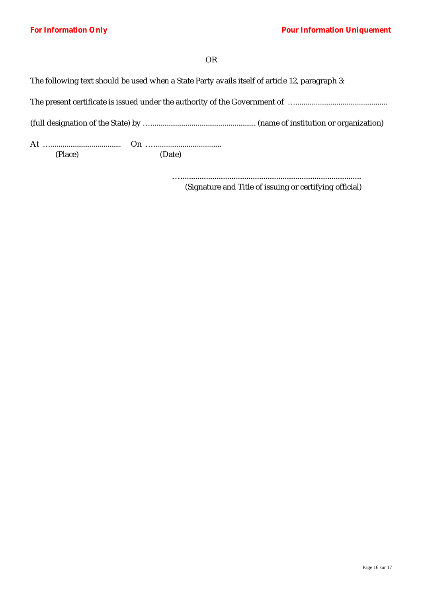## OR

The following text should be used when a State Party avails itself of article 12, paragraph 3:

The present certificate is issued under the authority of the Government of …...............................................

(full designation of the State) by …...................................................... (name of institution or organization)

At ….................................... On …................................... (Place) (Date)

> …..................................................................................... (Signature and Title of issuing or certifying official)